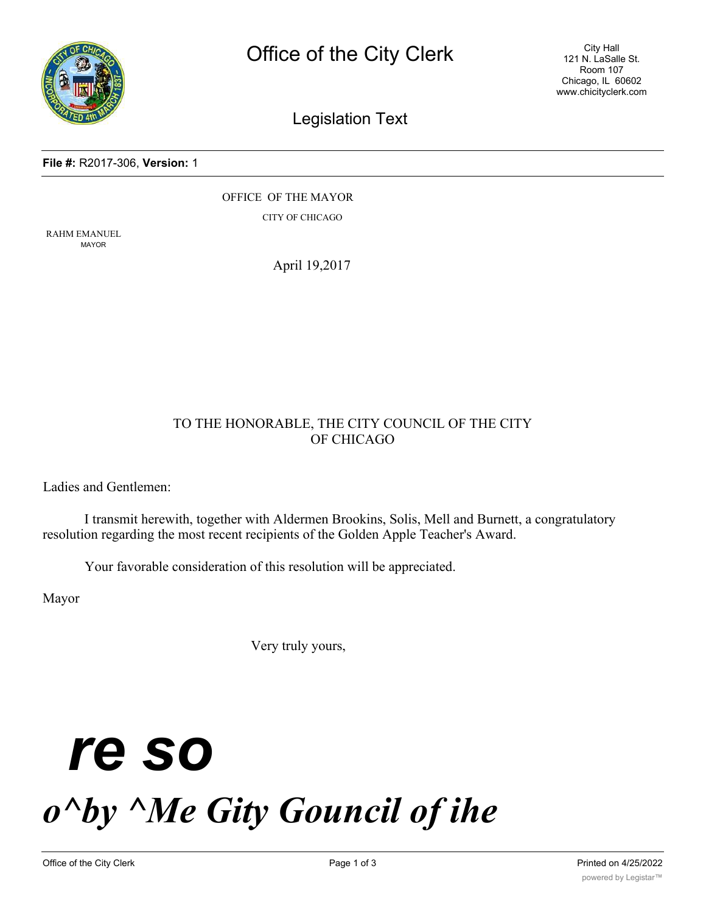

City Hall 121 N. LaSalle St. Room 107 Chicago, IL 60602 www.chicityclerk.com

### Legislation Text

### **File #:** R2017-306, **Version:** 1

OFFICE OF THE MAYOR CITY OF CHICAGO

RAHM EMANUEL MAYOR

April 19,2017

### TO THE HONORABLE, THE CITY COUNCIL OF THE CITY OF CHICAGO

Ladies and Gentlemen:

I transmit herewith, together with Aldermen Brookins, Solis, Mell and Burnett, a congratulatory resolution regarding the most recent recipients of the Golden Apple Teacher's Award.

Your favorable consideration of this resolution will be appreciated.

Mayor

Very truly yours,

# *re so o^by ^Me Gity Gouncil of ihe*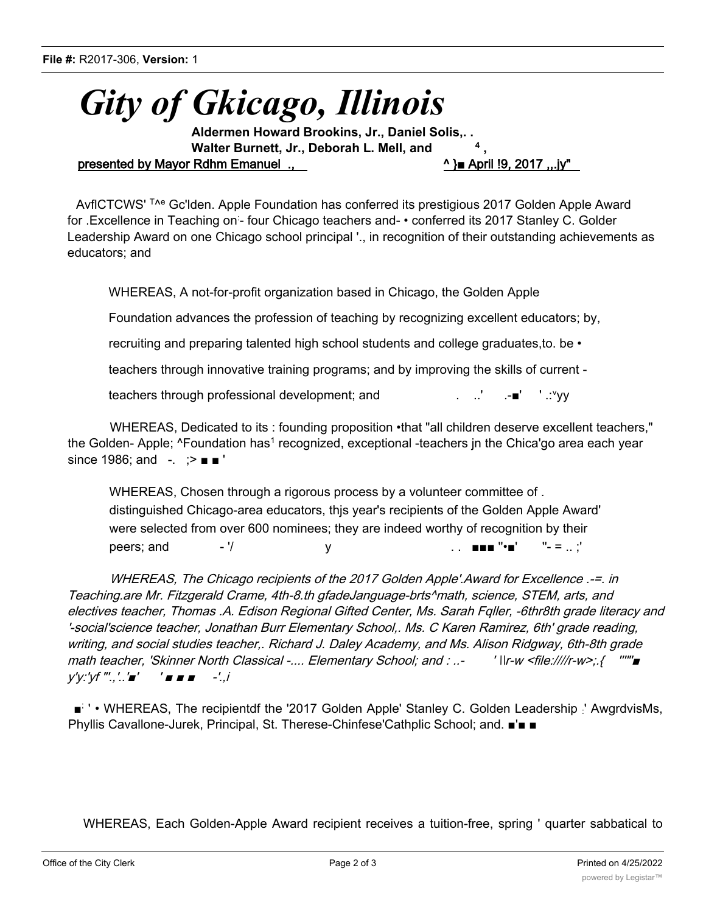## *Gity of Gkicago, Illinois*

**Aldermen Howard Brookins, Jr., Daniel Solis,. . Walter Burnett, Jr., Deborah L. Mell, and** presented by Mayor Rdhm Emanuel .,  $^{\wedge}$  and  $^{\wedge}$  and  $^{\wedge}$  and  $^{\wedge}$  9. 2017 ,..jy"

AvflCTCWS' <sup>T<sub>^e</sub></sup> Gc'lden. Apple Foundation has conferred its prestigious 2017 Golden Apple Award for .Excellence in Teaching on - four Chicago teachers and- • conferred its 2017 Stanley C. Golder Leadership Award on one Chicago school principal '., in recognition of their outstanding achievements as educators; and

WHEREAS, A not-for-profit organization based in Chicago, the Golden Apple

Foundation advances the profession of teaching by recognizing excellent educators; by,

recruiting and preparing talented high school students and college graduates,to. be •

teachers through innovative training programs; and by improving the skills of current -

teachers through professional development; and ........................■' ' ∴′vv

WHEREAS, Dedicated to its : founding proposition •that "all children deserve excellent teachers," the Golden- Apple; ^Foundation has<sup>1</sup> recognized, exceptional -teachers in the Chica'go area each year since 1986; and -. ; > ■ ■

WHEREAS, Chosen through a rigorous process by a volunteer committee of . distinguished Chicago-area educators, thjs year's recipients of the Golden Apple Award' were selected from over 600 nominees; they are indeed worthy of recognition by their peers; and  $-$  '/  $y$  .  $\blacksquare = \blacksquare' \blacksquare' = \blacksquare$ ;'

WHEREAS, The Chicago recipients of the 2017 Golden Apple'.Award for Excellence .-=. in Teaching.are Mr. Fitzgerald Crame, 4th-8.th gfadeJanguage-brts^math, science, STEM, arts, and electives teacher, Thomas .A. Edison Regional Gifted Center, Ms. Sarah Fqller, -6thr8th grade literacy and '-social'science teacher, Jonathan Burr Elementary School,. Ms. C Karen Ramirez, 6th' grade reading, writing, and social studies teacher,. Richard J. Daley Academy, and Ms. Alison Ridgway, 6th-8th grade math teacher, 'Skinner North Classical -.... Elementary School; and : ..- ' \\r-w <file:////r-w>;.{ '''"'■ y'y:'yf "'.,'..'■' ' ■ ■ ■ -'.,i

■<sup>;</sup> • WHEREAS, The recipientdf the '2017 Golden Apple' Stanley C. Golden Leadership ' AwgrdvisMs, Phyllis Cavallone-Jurek, Principal, St. Therese-Chinfese'Cathplic School; and. ■'■ ■

WHEREAS, Each Golden-Apple Award recipient receives a tuition-free, spring ' quarter sabbatical to